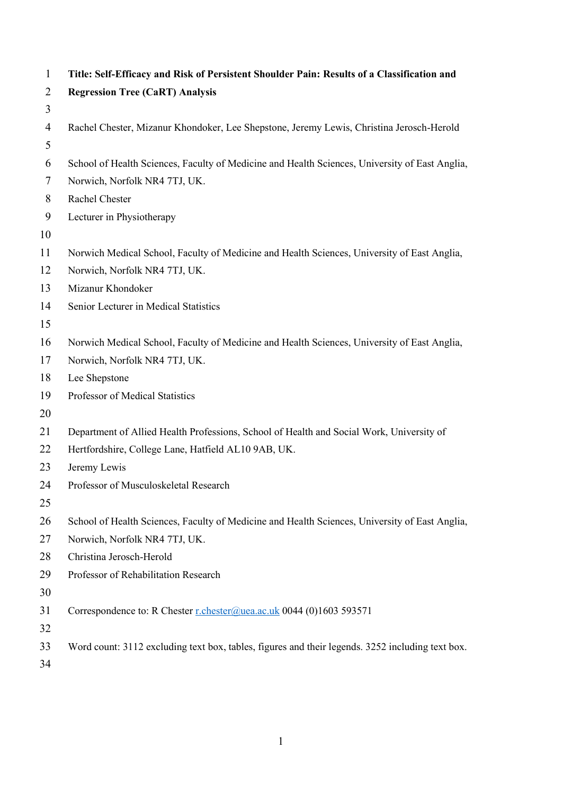| $\mathbf{1}$   | Title: Self-Efficacy and Risk of Persistent Shoulder Pain: Results of a Classification and       |
|----------------|--------------------------------------------------------------------------------------------------|
| $\overline{2}$ | <b>Regression Tree (CaRT) Analysis</b>                                                           |
| 3              |                                                                                                  |
| $\overline{4}$ | Rachel Chester, Mizanur Khondoker, Lee Shepstone, Jeremy Lewis, Christina Jerosch-Herold         |
| 5              |                                                                                                  |
| 6              | School of Health Sciences, Faculty of Medicine and Health Sciences, University of East Anglia,   |
| $\tau$         | Norwich, Norfolk NR4 7TJ, UK.                                                                    |
| 8              | Rachel Chester                                                                                   |
| 9              | Lecturer in Physiotherapy                                                                        |
| 10             |                                                                                                  |
| 11             | Norwich Medical School, Faculty of Medicine and Health Sciences, University of East Anglia,      |
| 12             | Norwich, Norfolk NR4 7TJ, UK.                                                                    |
| 13             | Mizanur Khondoker                                                                                |
| 14             | Senior Lecturer in Medical Statistics                                                            |
| 15             |                                                                                                  |
| 16             | Norwich Medical School, Faculty of Medicine and Health Sciences, University of East Anglia,      |
| 17             | Norwich, Norfolk NR4 7TJ, UK.                                                                    |
| 18             | Lee Shepstone                                                                                    |
| 19             | Professor of Medical Statistics                                                                  |
| 20             |                                                                                                  |
| 21             | Department of Allied Health Professions, School of Health and Social Work, University of         |
| 22             | Hertfordshire, College Lane, Hatfield AL10 9AB, UK.                                              |
| 23             | Jeremy Lewis                                                                                     |
| 24             | Professor of Musculoskeletal Research                                                            |
| 25             |                                                                                                  |
| 26             | School of Health Sciences, Faculty of Medicine and Health Sciences, University of East Anglia,   |
| 27             | Norwich, Norfolk NR4 7TJ, UK.                                                                    |
| 28             | Christina Jerosch-Herold                                                                         |
| 29             | Professor of Rehabilitation Research                                                             |
| 30             |                                                                                                  |
| 31             | Correspondence to: R Chester r.chester@uea.ac.uk 0044 (0)1603 593571                             |
| 32             |                                                                                                  |
| 33             | Word count: 3112 excluding text box, tables, figures and their legends. 3252 including text box. |
| 34             |                                                                                                  |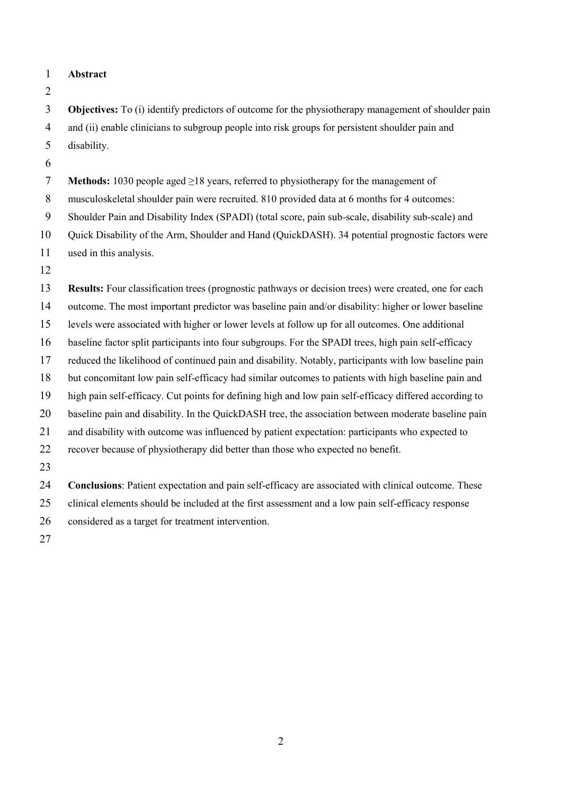- **Abstract**
- 

 **Objectives:** To (i) identify predictors of outcome for the physiotherapy management of shoulder pain and (ii) enable clinicians to subgroup people into risk groups for persistent shoulder pain and disability.

**Methods:** 1030 people aged ≥18 years, referred to physiotherapy for the management of

musculoskeletal shoulder pain were recruited. 810 provided data at 6 months for 4 outcomes:

Shoulder Pain and Disability Index (SPADI) (total score, pain sub-scale, disability sub-scale) and

Quick Disability of the Arm, Shoulder and Hand (QuickDASH). 34 potential prognostic factors were

- used in this analysis.
- 

 **Results:** Four classification trees (prognostic pathways or decision trees) were created, one for each outcome. The most important predictor was baseline pain and/or disability: higher or lower baseline levels were associated with higher or lower levels at follow up for all outcomes. One additional baseline factor split participants into four subgroups. For the SPADI trees, high pain self-efficacy reduced the likelihood of continued pain and disability. Notably, participants with low baseline pain but concomitant low pain self-efficacy had similar outcomes to patients with high baseline pain and high pain self-efficacy. Cut points for defining high and low pain self-efficacy differed according to baseline pain and disability. In the QuickDASH tree, the association between moderate baseline pain and disability with outcome was influenced by patient expectation: participants who expected to recover because of physiotherapy did better than those who expected no benefit. **Conclusions**: Patient expectation and pain self-efficacy are associated with clinical outcome. These clinical elements should be included at the first assessment and a low pain self-efficacy response

considered as a target for treatment intervention.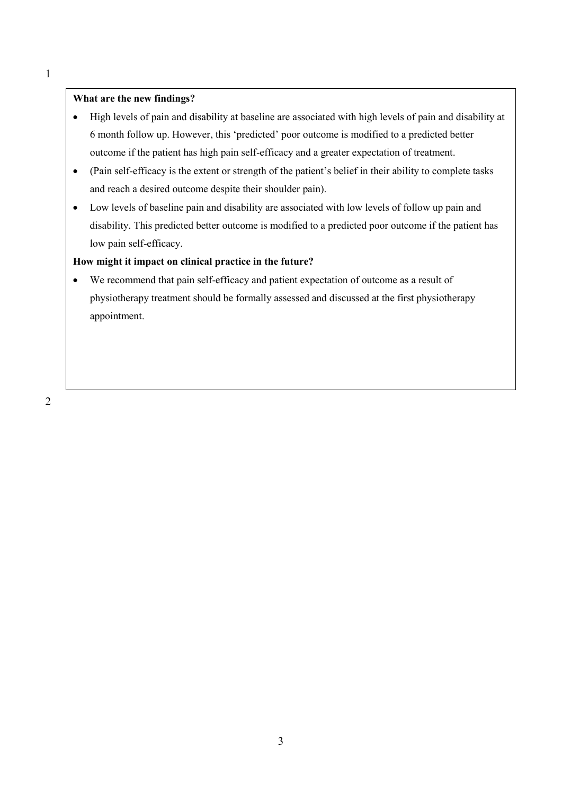## **What are the new findings?**

- High levels of pain and disability at baseline are associated with high levels of pain and disability at 6 month follow up. However, this 'predicted' poor outcome is modified to a predicted better outcome if the patient has high pain self-efficacy and a greater expectation of treatment.
- (Pain self-efficacy is the extent or strength of the patient's belief in their ability to complete tasks and reach a desired outcome despite their shoulder pain).
- Low levels of baseline pain and disability are associated with low levels of follow up pain and disability. This predicted better outcome is modified to a predicted poor outcome if the patient has low pain self-efficacy.

### **How might it impact on clinical practice in the future?**

 We recommend that pain self-efficacy and patient expectation of outcome as a result of physiotherapy treatment should be formally assessed and discussed at the first physiotherapy appointment.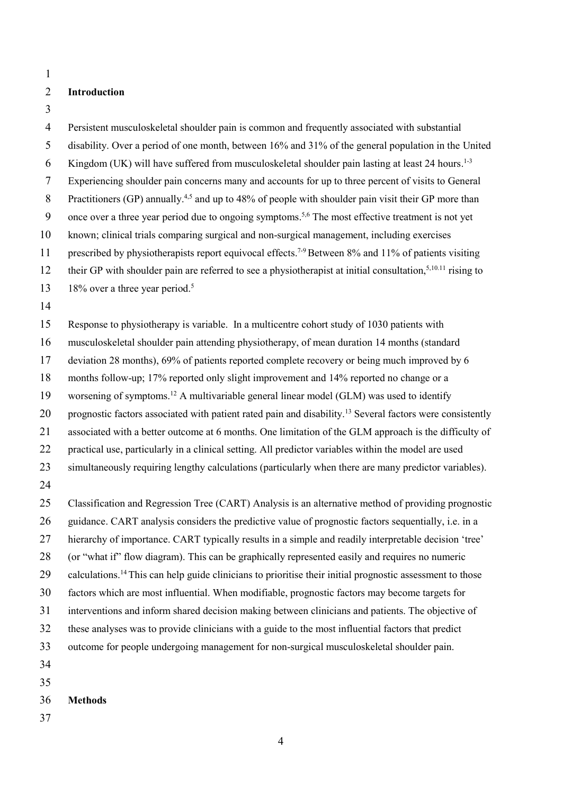# **Introduction**

 Persistent musculoskeletal shoulder pain is common and frequently associated with substantial disability. Over a period of one month, between 16% and 31% of the general population in the United 6 Kingdom (UK) will have suffered from musculoskeletal shoulder pain lasting at least 24 hours.<sup>1-3</sup> Experiencing shoulder pain concerns many and accounts for up to three percent of visits to General 8 Practitioners (GP) annually.<sup>4,5</sup> and up to 48% of people with shoulder pain visit their GP more than 9 once over a three year period due to ongoing symptoms.<sup>5,6</sup> The most effective treatment is not yet known; clinical trials comparing surgical and non-surgical management, including exercises 11 prescribed by physiotherapists report equivocal effects.<sup>7-9</sup> Between 8% and 11% of patients visiting 12 their GP with shoulder pain are referred to see a physiotherapist at initial consultation,<sup>5,10.11</sup> rising to 13 18% over a three year period.<sup>5</sup> Response to physiotherapy is variable. In a multicentre cohort study of 1030 patients with musculoskeletal shoulder pain attending physiotherapy, of mean duration 14 months (standard deviation 28 months), 69% of patients reported complete recovery or being much improved by 6 months follow-up; 17% reported only slight improvement and 14% reported no change or a 19 worsening of symptoms.<sup>12</sup> A multivariable general linear model (GLM) was used to identify 20 prognostic factors associated with patient rated pain and disability.<sup>13</sup> Several factors were consistently associated with a better outcome at 6 months. One limitation of the GLM approach is the difficulty of practical use, particularly in a clinical setting. All predictor variables within the model are used simultaneously requiring lengthy calculations (particularly when there are many predictor variables). Classification and Regression Tree (CART) Analysis is an alternative method of providing prognostic guidance. CART analysis considers the predictive value of prognostic factors sequentially, i.e. in a hierarchy of importance. CART typically results in a simple and readily interpretable decision 'tree' (or "what if" flow diagram). This can be graphically represented easily and requires no numeric 29 calculations.<sup>14</sup> This can help guide clinicians to prioritise their initial prognostic assessment to those factors which are most influential. When modifiable, prognostic factors may become targets for interventions and inform shared decision making between clinicians and patients. The objective of these analyses was to provide clinicians with a guide to the most influential factors that predict outcome for people undergoing management for non-surgical musculoskeletal shoulder pain. **Methods**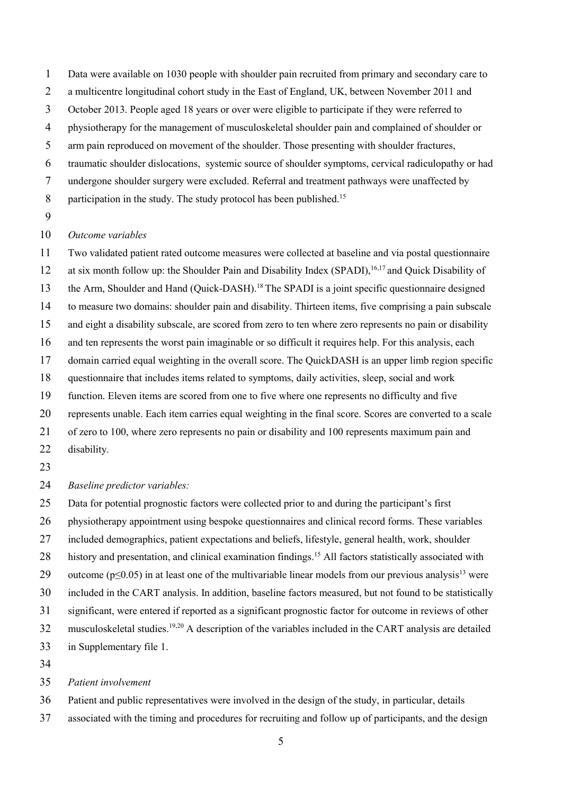- Data were available on 1030 people with shoulder pain recruited from primary and secondary care to
- a multicentre longitudinal cohort study in the East of England, UK, between November 2011 and
- October 2013. People aged 18 years or over were eligible to participate if they were referred to
- physiotherapy for the management of musculoskeletal shoulder pain and complained of shoulder or
- arm pain reproduced on movement of the shoulder. Those presenting with shoulder fractures,
- traumatic shoulder dislocations, systemic source of shoulder symptoms, cervical radiculopathy or had
- undergone shoulder surgery were excluded. Referral and treatment pathways were unaffected by
- 8 participation in the study. The study protocol has been published.<sup>15</sup>
- 

## *Outcome variables*

 Two validated patient rated outcome measures were collected at baseline and via postal questionnaire 12 at six month follow up: the Shoulder Pain and Disability Index (SPADI),<sup>16,17</sup> and Quick Disability of 13 the Arm, Shoulder and Hand (Quick-DASH).<sup>18</sup> The SPADI is a joint specific questionnaire designed to measure two domains: shoulder pain and disability. Thirteen items, five comprising a pain subscale and eight a disability subscale, are scored from zero to ten where zero represents no pain or disability and ten represents the worst pain imaginable or so difficult it requires help. For this analysis, each domain carried equal weighting in the overall score. The QuickDASH is an upper limb region specific questionnaire that includes items related to symptoms, daily activities, sleep, social and work function. Eleven items are scored from one to five where one represents no difficulty and five represents unable. Each item carries equal weighting in the final score. Scores are converted to a scale of zero to 100, where zero represents no pain or disability and 100 represents maximum pain and disability.

## *Baseline predictor variables:*

Data for potential prognostic factors were collected prior to and during the participant's first

- 26 physiotherapy appointment using bespoke questionnaires and clinical record forms. These variables
- included demographics, patient expectations and beliefs, lifestyle, general health, work, shoulder
- 28 history and presentation, and clinical examination findings.<sup>15</sup> All factors statistically associated with
- 29 outcome ( $p \le 0.05$ ) in at least one of the multivariable linear models from our previous analysis<sup>13</sup> were
- included in the CART analysis. In addition, baseline factors measured, but not found to be statistically
- significant, were entered if reported as a significant prognostic factor for outcome in reviews of other
- 32 musculoskeletal studies.<sup>19,20</sup> A description of the variables included in the CART analysis are detailed
- in Supplementary file 1.
- 

#### *Patient involvement*

- Patient and public representatives were involved in the design of the study, in particular, details
- associated with the timing and procedures for recruiting and follow up of participants, and the design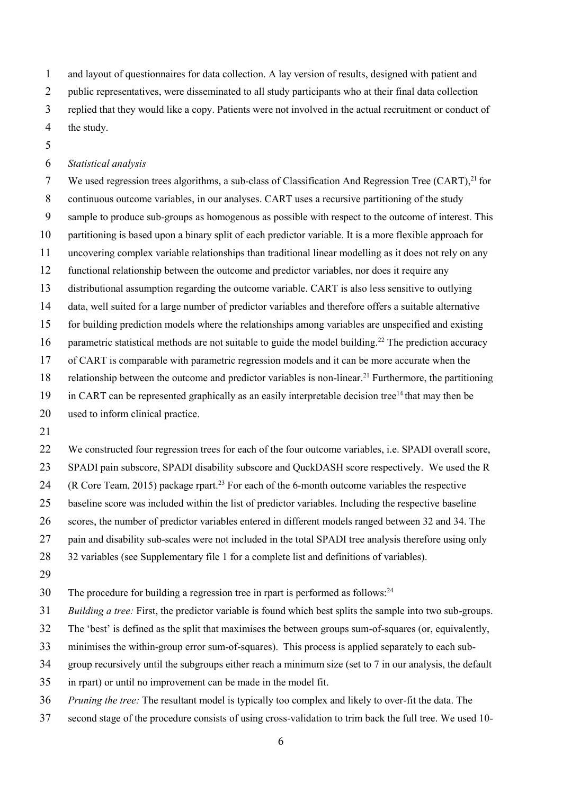and layout of questionnaires for data collection. A lay version of results, designed with patient and

 public representatives, were disseminated to all study participants who at their final data collection replied that they would like a copy. Patients were not involved in the actual recruitment or conduct of

- the study.
- 

## *Statistical analysis*

7 We used regression trees algorithms, a sub-class of Classification And Regression Tree (CART),<sup>21</sup> for continuous outcome variables, in our analyses. CART uses a recursive partitioning of the study sample to produce sub-groups as homogenous as possible with respect to the outcome of interest. This partitioning is based upon a binary split of each predictor variable. It is a more flexible approach for uncovering complex variable relationships than traditional linear modelling as it does not rely on any functional relationship between the outcome and predictor variables, nor does it require any distributional assumption regarding the outcome variable. CART is also less sensitive to outlying data, well suited for a large number of predictor variables and therefore offers a suitable alternative for building prediction models where the relationships among variables are unspecified and existing 16 parametric statistical methods are not suitable to guide the model building.<sup>22</sup> The prediction accuracy of CART is comparable with parametric regression models and it can be more accurate when the 18 relationship between the outcome and predictor variables is non-linear.<sup>21</sup> Furthermore, the partitioning 19 in CART can be represented graphically as an easily interpretable decision tree<sup>14</sup> that may then be 20 used to inform clinical practice.

 We constructed four regression trees for each of the four outcome variables, i.e. SPADI overall score, SPADI pain subscore, SPADI disability subscore and QuckDASH score respectively. We used the R 24 (R Core Team, 2015) package rpart.<sup>23</sup> For each of the 6-month outcome variables the respective baseline score was included within the list of predictor variables. Including the respective baseline scores, the number of predictor variables entered in different models ranged between 32 and 34. The pain and disability sub-scales were not included in the total SPADI tree analysis therefore using only

28 32 variables (see Supplementary file 1 for a complete list and definitions of variables).

30 The procedure for building a regression tree in rpart is performed as follows: $^{24}$ 

*Building a tree:* First, the predictor variable is found which best splits the sample into two sub-groups.

The 'best' is defined as the split that maximises the between groups sum-of-squares (or, equivalently,

minimises the within-group error sum-of-squares). This process is applied separately to each sub-

group recursively until the subgroups either reach a minimum size (set to 7 in our analysis, the default

in rpart) or until no improvement can be made in the model fit.

*Pruning the tree:* The resultant model is typically too complex and likely to over-fit the data. The

second stage of the procedure consists of using cross-validation to trim back the full tree. We used 10-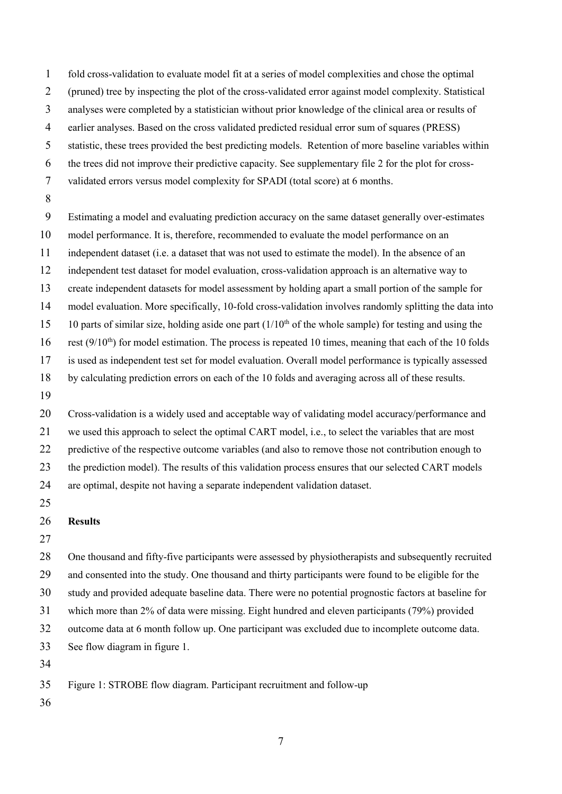- fold cross-validation to evaluate model fit at a series of model complexities and chose the optimal
- (pruned) tree by inspecting the plot of the cross-validated error against model complexity. Statistical
- analyses were completed by a statistician without prior knowledge of the clinical area or results of
- earlier analyses. Based on the cross validated predicted residual error sum of squares (PRESS)
- statistic, these trees provided the best predicting models. Retention of more baseline variables within
- the trees did not improve their predictive capacity. See supplementary file 2 for the plot for cross-
- validated errors versus model complexity for SPADI (total score) at 6 months.
- 

Estimating a model and evaluating prediction accuracy on the same dataset generally over-estimates

- model performance. It is, therefore, recommended to evaluate the model performance on an
- independent dataset (i.e. a dataset that was not used to estimate the model). In the absence of an
- independent test dataset for model evaluation, cross-validation approach is an alternative way to
- create independent datasets for model assessment by holding apart a small portion of the sample for
- model evaluation. More specifically, 10-fold cross-validation involves randomly splitting the data into
- 15 10 parts of similar size, holding aside one part  $(1/10<sup>th</sup>$  of the whole sample) for testing and using the
- 16 rest  $(9/10<sup>th</sup>)$  for model estimation. The process is repeated 10 times, meaning that each of the 10 folds
- is used as independent test set for model evaluation. Overall model performance is typically assessed
- by calculating prediction errors on each of the 10 folds and averaging across all of these results.
- 

 Cross-validation is a widely used and acceptable way of validating model accuracy/performance and we used this approach to select the optimal CART model, i.e., to select the variables that are most predictive of the respective outcome variables (and also to remove those not contribution enough to the prediction model). The results of this validation process ensures that our selected CART models are optimal, despite not having a separate independent validation dataset.

# **Results**

 One thousand and fifty-five participants were assessed by physiotherapists and subsequently recruited and consented into the study. One thousand and thirty participants were found to be eligible for the study and provided adequate baseline data. There were no potential prognostic factors at baseline for which more than 2% of data were missing. Eight hundred and eleven participants (79%) provided outcome data at 6 month follow up. One participant was excluded due to incomplete outcome data. See flow diagram in figure 1.

Figure 1: STROBE flow diagram. Participant recruitment and follow-up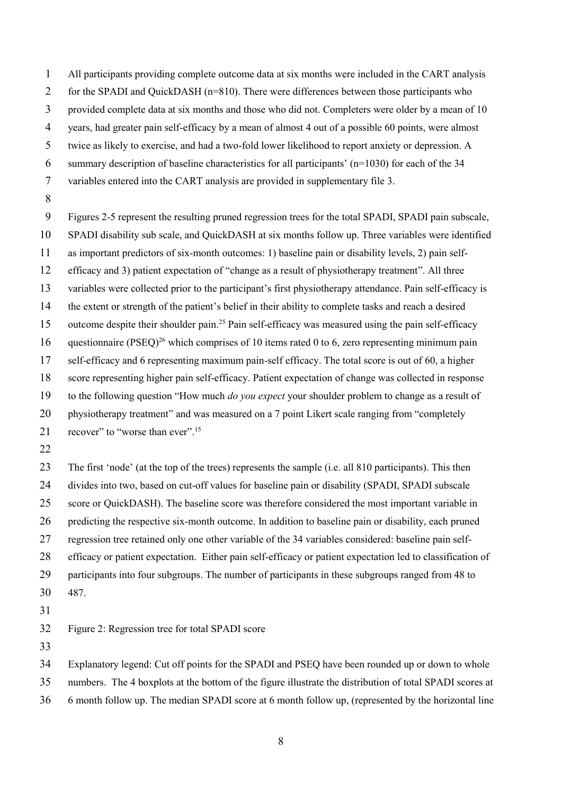All participants providing complete outcome data at six months were included in the CART analysis

- 2 for the SPADI and QuickDASH (n=810). There were differences between those participants who
- provided complete data at six months and those who did not. Completers were older by a mean of 10

years, had greater pain self-efficacy by a mean of almost 4 out of a possible 60 points, were almost

- twice as likely to exercise, and had a two-fold lower likelihood to report anxiety or depression. A
- summary description of baseline characteristics for all participants' (n=1030) for each of the 34
- variables entered into the CART analysis are provided in supplementary file 3.
- 

 Figures 2-5 represent the resulting pruned regression trees for the total SPADI, SPADI pain subscale, SPADI disability sub scale, and QuickDASH at six months follow up. Three variables were identified as important predictors of six-month outcomes: 1) baseline pain or disability levels, 2) pain self- efficacy and 3) patient expectation of "change as a result of physiotherapy treatment". All three variables were collected prior to the participant's first physiotherapy attendance. Pain self-efficacy is the extent or strength of the patient's belief in their ability to complete tasks and reach a desired 15 outcome despite their shoulder pain.<sup>25</sup> Pain self-efficacy was measured using the pain self-efficacy 16 questionnaire (PSEO)<sup>26</sup> which comprises of 10 items rated 0 to 6, zero representing minimum pain self-efficacy and 6 representing maximum pain-self efficacy. The total score is out of 60, a higher score representing higher pain self-efficacy. Patient expectation of change was collected in response to the following question "How much *do you expect* your shoulder problem to change as a result of physiotherapy treatment" and was measured on a 7 point Likert scale ranging from "completely 21 recover" to "worse than ever".<sup>15</sup>

 The first 'node' (at the top of the trees) represents the sample (i.e. all 810 participants). This then divides into two, based on cut-off values for baseline pain or disability (SPADI, SPADI subscale score or QuickDASH). The baseline score was therefore considered the most important variable in predicting the respective six-month outcome. In addition to baseline pain or disability, each pruned regression tree retained only one other variable of the 34 variables considered: baseline pain self- efficacy or patient expectation. Either pain self-efficacy or patient expectation led to classification of participants into four subgroups. The number of participants in these subgroups ranged from 48 to 487.

Figure 2: Regression tree for total SPADI score

Explanatory legend: Cut off points for the SPADI and PSEQ have been rounded up or down to whole

- numbers. The 4 boxplots at the bottom of the figure illustrate the distribution of total SPADI scores at
- 6 month follow up. The median SPADI score at 6 month follow up, (represented by the horizontal line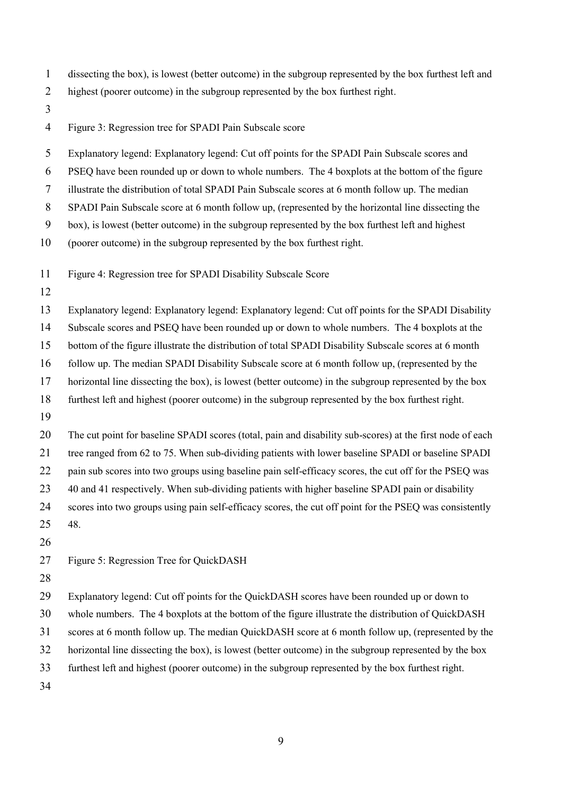- dissecting the box), is lowest (better outcome) in the subgroup represented by the box furthest left and
- highest (poorer outcome) in the subgroup represented by the box furthest right.
- 
- Figure 3: Regression tree for SPADI Pain Subscale score
- Explanatory legend: Explanatory legend: Cut off points for the SPADI Pain Subscale scores and
- PSEQ have been rounded up or down to whole numbers. The 4 boxplots at the bottom of the figure
- illustrate the distribution of total SPADI Pain Subscale scores at 6 month follow up. The median
- SPADI Pain Subscale score at 6 month follow up, (represented by the horizontal line dissecting the
- box), is lowest (better outcome) in the subgroup represented by the box furthest left and highest
- (poorer outcome) in the subgroup represented by the box furthest right.
- Figure 4: Regression tree for SPADI Disability Subscale Score
- 

Explanatory legend: Explanatory legend: Explanatory legend: Cut off points for the SPADI Disability

- Subscale scores and PSEQ have been rounded up or down to whole numbers. The 4 boxplots at the
- bottom of the figure illustrate the distribution of total SPADI Disability Subscale scores at 6 month
- follow up. The median SPADI Disability Subscale score at 6 month follow up, (represented by the
- horizontal line dissecting the box), is lowest (better outcome) in the subgroup represented by the box
- furthest left and highest (poorer outcome) in the subgroup represented by the box furthest right.
- 
- The cut point for baseline SPADI scores (total, pain and disability sub-scores) at the first node of each tree ranged from 62 to 75. When sub-dividing patients with lower baseline SPADI or baseline SPADI
- pain sub scores into two groups using baseline pain self-efficacy scores, the cut off for the PSEQ was
- 40 and 41 respectively. When sub-dividing patients with higher baseline SPADI pain or disability scores into two groups using pain self-efficacy scores, the cut off point for the PSEQ was consistently
- 48.
- 

Figure 5: Regression Tree for QuickDASH

Explanatory legend: Cut off points for the QuickDASH scores have been rounded up or down to

- whole numbers. The 4 boxplots at the bottom of the figure illustrate the distribution of QuickDASH
- scores at 6 month follow up. The median QuickDASH score at 6 month follow up, (represented by the
- horizontal line dissecting the box), is lowest (better outcome) in the subgroup represented by the box
- furthest left and highest (poorer outcome) in the subgroup represented by the box furthest right.
-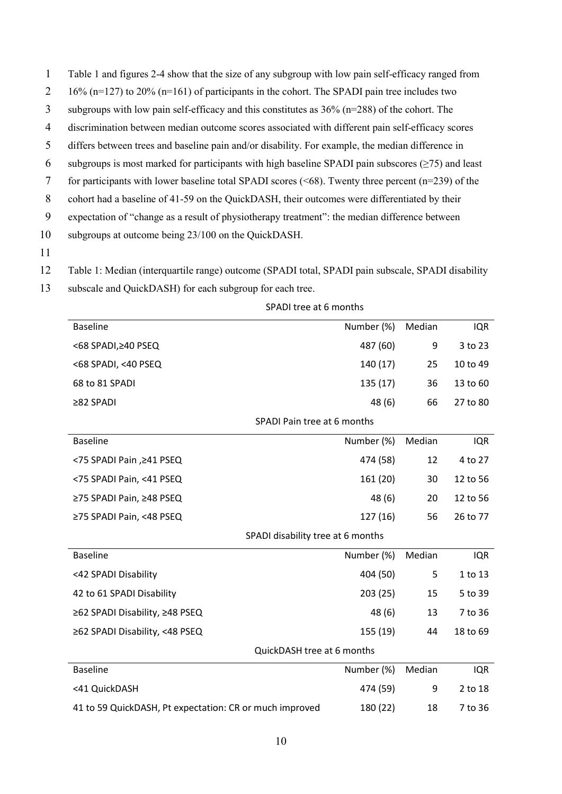- 1 Table 1 and figures 2-4 show that the size of any subgroup with low pain self-efficacy ranged from
- 2 16% (n=127) to 20% (n=161) of participants in the cohort. The SPADI pain tree includes two
- 3 subgroups with low pain self-efficacy and this constitutes as 36% (n=288) of the cohort. The
- 4 discrimination between median outcome scores associated with different pain self-efficacy scores
- 5 differs between trees and baseline pain and/or disability. For example, the median difference in
- 6 subgroups is most marked for participants with high baseline SPADI pain subscores ( $\geq$ 75) and least
- 7 for participants with lower baseline total SPADI scores (<68). Twenty three percent (n=239) of the
- 8 cohort had a baseline of 41-59 on the QuickDASH, their outcomes were differentiated by their
- 9 expectation of "change as a result of physiotherapy treatment": the median difference between
- 10 subgroups at outcome being 23/100 on the QuickDASH.
- 11
- 12 Table 1: Median (interquartile range) outcome (SPADI total, SPADI pain subscale, SPADI disability
- 13 subscale and QuickDASH) for each subgroup for each tree.

| <b>Baseline</b>                                         | Number (%) | Median | <b>IQR</b> |
|---------------------------------------------------------|------------|--------|------------|
| <68 SPADI,≥40 PSEQ                                      | 487 (60)   | 9      | 3 to 23    |
| <68 SPADI, <40 PSEQ                                     | 140 (17)   | 25     | 10 to 49   |
| 68 to 81 SPADI                                          | 135 (17)   | 36     | 13 to 60   |
| ≥82 SPADI                                               | 48 (6)     | 66     | 27 to 80   |
| SPADI Pain tree at 6 months                             |            |        |            |
| <b>Baseline</b>                                         | Number (%) | Median | <b>IQR</b> |
| <75 SPADI Pain ,≥41 PSEQ                                | 474 (58)   | 12     | 4 to 27    |
| <75 SPADI Pain, <41 PSEQ                                | 161(20)    | 30     | 12 to 56   |
| ≥75 SPADI Pain, ≥48 PSEQ                                | 48 (6)     | 20     | 12 to 56   |
| ≥75 SPADI Pain, <48 PSEQ                                | 127(16)    | 56     | 26 to 77   |
| SPADI disability tree at 6 months                       |            |        |            |
| <b>Baseline</b>                                         | Number (%) | Median | IQR        |
| <42 SPADI Disability                                    | 404 (50)   | 5      | 1 to 13    |
| 42 to 61 SPADI Disability                               | 203 (25)   | 15     | 5 to 39    |
| ≥62 SPADI Disability, ≥48 PSEQ                          | 48 (6)     | 13     | 7 to 36    |
| ≥62 SPADI Disability, <48 PSEQ                          | 155 (19)   | 44     | 18 to 69   |
| QuickDASH tree at 6 months                              |            |        |            |
| <b>Baseline</b>                                         | Number (%) | Median | <b>IQR</b> |
| <41 QuickDASH                                           | 474 (59)   | 9      | 2 to 18    |
| 41 to 59 QuickDASH, Pt expectation: CR or much improved | 180 (22)   | 18     | 7 to 36    |

SPADI tree at 6 months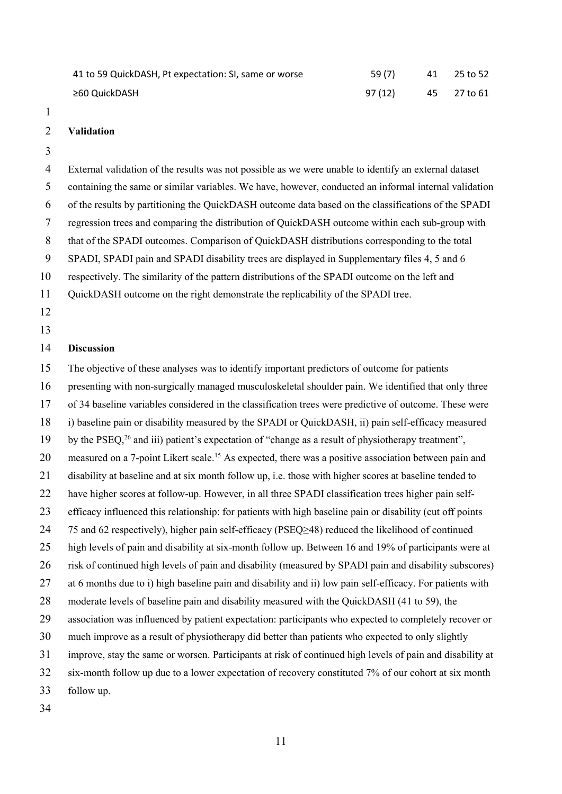| 41 to 59 QuickDASH, Pt expectation: SI, same or worse | 59 (7)  | 41 25 to 52 |
|-------------------------------------------------------|---------|-------------|
| ≥60 QuickDASH                                         | 97 (12) | 45 27 to 61 |

## **Validation**

 External validation of the results was not possible as we were unable to identify an external dataset containing the same or similar variables. We have, however, conducted an informal internal validation of the results by partitioning the QuickDASH outcome data based on the classifications of the SPADI regression trees and comparing the distribution of QuickDASH outcome within each sub-group with that of the SPADI outcomes. Comparison of QuickDASH distributions corresponding to the total SPADI, SPADI pain and SPADI disability trees are displayed in Supplementary files 4, 5 and 6 respectively. The similarity of the pattern distributions of the SPADI outcome on the left and

- QuickDASH outcome on the right demonstrate the replicability of the SPADI tree.
- 
- 

# **Discussion**

The objective of these analyses was to identify important predictors of outcome for patients

presenting with non-surgically managed musculoskeletal shoulder pain. We identified that only three

of 34 baseline variables considered in the classification trees were predictive of outcome. These were

i) baseline pain or disability measured by the SPADI or QuickDASH, ii) pain self-efficacy measured

19 by the PSEQ,<sup>26</sup> and iii) patient's expectation of "change as a result of physiotherapy treatment",

20 measured on a 7-point Likert scale.<sup>15</sup> As expected, there was a positive association between pain and

disability at baseline and at six month follow up, i.e. those with higher scores at baseline tended to

- have higher scores at follow-up. However, in all three SPADI classification trees higher pain self-
- efficacy influenced this relationship: for patients with high baseline pain or disability (cut off points
- 75 and 62 respectively), higher pain self-efficacy (PSEQ≥48) reduced the likelihood of continued
- high levels of pain and disability at six-month follow up. Between 16 and 19% of participants were at
- risk of continued high levels of pain and disability (measured by SPADI pain and disability subscores)

at 6 months due to i) high baseline pain and disability and ii) low pain self-efficacy. For patients with

moderate levels of baseline pain and disability measured with the QuickDASH (41 to 59), the

association was influenced by patient expectation: participants who expected to completely recover or

much improve as a result of physiotherapy did better than patients who expected to only slightly

improve, stay the same or worsen. Participants at risk of continued high levels of pain and disability at

six-month follow up due to a lower expectation of recovery constituted 7% of our cohort at six month

follow up.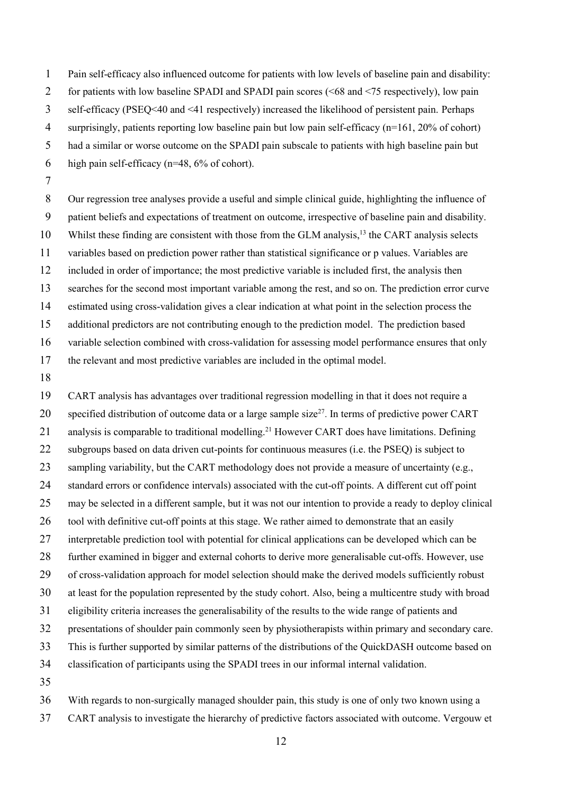Pain self-efficacy also influenced outcome for patients with low levels of baseline pain and disability:

for patients with low baseline SPADI and SPADI pain scores (<68 and <75 respectively), low pain

self-efficacy (PSEQ<40 and <41 respectively) increased the likelihood of persistent pain. Perhaps

surprisingly, patients reporting low baseline pain but low pain self-efficacy (n=161, 20% of cohort)

had a similar or worse outcome on the SPADI pain subscale to patients with high baseline pain but

- 6 high pain self-efficacy ( $n=48$ ,  $6\%$  of cohort).
- 

 Our regression tree analyses provide a useful and simple clinical guide, highlighting the influence of patient beliefs and expectations of treatment on outcome, irrespective of baseline pain and disability. 10 Whilst these finding are consistent with those from the GLM analysis,<sup>13</sup> the CART analysis selects variables based on prediction power rather than statistical significance or p values. Variables are included in order of importance; the most predictive variable is included first, the analysis then searches for the second most important variable among the rest, and so on. The prediction error curve estimated using cross-validation gives a clear indication at what point in the selection process the additional predictors are not contributing enough to the prediction model. The prediction based variable selection combined with cross-validation for assessing model performance ensures that only the relevant and most predictive variables are included in the optimal model.

 CART analysis has advantages over traditional regression modelling in that it does not require a 20 specified distribution of outcome data or a large sample size<sup>27</sup>. In terms of predictive power CART 21 analysis is comparable to traditional modelling.<sup>21</sup> However CART does have limitations. Defining 22 subgroups based on data driven cut-points for continuous measures (i.e. the PSEO) is subject to 23 sampling variability, but the CART methodology does not provide a measure of uncertainty (e.g., standard errors or confidence intervals) associated with the cut-off points. A different cut off point may be selected in a different sample, but it was not our intention to provide a ready to deploy clinical 26 tool with definitive cut-off points at this stage. We rather aimed to demonstrate that an easily interpretable prediction tool with potential for clinical applications can be developed which can be further examined in bigger and external cohorts to derive more generalisable cut-offs. However, use of cross-validation approach for model selection should make the derived models sufficiently robust at least for the population represented by the study cohort. Also, being a multicentre study with broad eligibility criteria increases the generalisability of the results to the wide range of patients and presentations of shoulder pain commonly seen by physiotherapists within primary and secondary care. This is further supported by similar patterns of the distributions of the QuickDASH outcome based on classification of participants using the SPADI trees in our informal internal validation.

 With regards to non-surgically managed shoulder pain, this study is one of only two known using a CART analysis to investigate the hierarchy of predictive factors associated with outcome. Vergouw et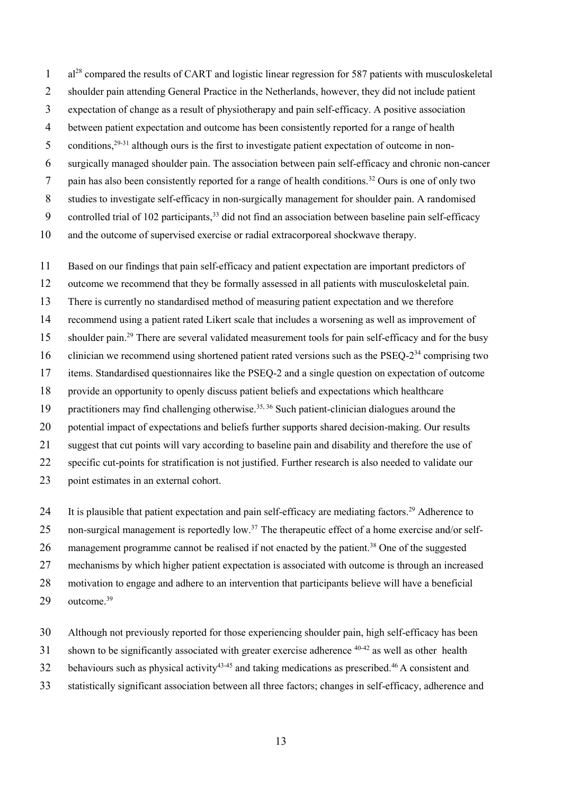al<sup>28</sup> compared the results of CART and logistic linear regression for 587 patients with musculoskeletal shoulder pain attending General Practice in the Netherlands, however, they did not include patient expectation of change as a result of physiotherapy and pain self-efficacy. A positive association between patient expectation and outcome has been consistently reported for a range of health 5 conditions,  $29-31$  although ours is the first to investigate patient expectation of outcome in non- surgically managed shoulder pain. The association between pain self-efficacy and chronic non-cancer 7 pain has also been consistently reported for a range of health conditions.<sup>32</sup> Ours is one of only two studies to investigate self-efficacy in non-surgically management for shoulder pain. A randomised 9 controlled trial of 102 participants,<sup>33</sup> did not find an association between baseline pain self-efficacy and the outcome of supervised exercise or radial extracorporeal shockwave therapy.

 Based on our findings that pain self-efficacy and patient expectation are important predictors of outcome we recommend that they be formally assessed in all patients with musculoskeletal pain. There is currently no standardised method of measuring patient expectation and we therefore recommend using a patient rated Likert scale that includes a worsening as well as improvement of 15 shoulder pain.<sup>29</sup> There are several validated measurement tools for pain self-efficacy and for the busy 16 clinician we recommend using shortened patient rated versions such as the PSEQ-2<sup>34</sup> comprising two items. Standardised questionnaires like the PSEQ-2 and a single question on expectation of outcome provide an opportunity to openly discuss patient beliefs and expectations which healthcare 19 practitioners may find challenging otherwise.<sup>35, 36</sup> Such patient-clinician dialogues around the 20 potential impact of expectations and beliefs further supports shared decision-making. Our results suggest that cut points will vary according to baseline pain and disability and therefore the use of specific cut-points for stratification is not justified. Further research is also needed to validate our point estimates in an external cohort.

24 It is plausible that patient expectation and pain self-efficacy are mediating factors.<sup>29</sup> Adherence to

25 non-surgical management is reportedly low.<sup>37</sup> The therapeutic effect of a home exercise and/or self-

26 management programme cannot be realised if not enacted by the patient.<sup>38</sup> One of the suggested

mechanisms by which higher patient expectation is associated with outcome is through an increased

motivation to engage and adhere to an intervention that participants believe will have a beneficial

29 outcome.<sup>39</sup>

Although not previously reported for those experiencing shoulder pain, high self-efficacy has been

- shown to be significantly associated with greater exercise adherence  $40-42$  as well as other health
- 32 behaviours such as physical activity<sup>43-45</sup> and taking medications as prescribed.<sup>46</sup> A consistent and
- statistically significant association between all three factors; changes in self-efficacy, adherence and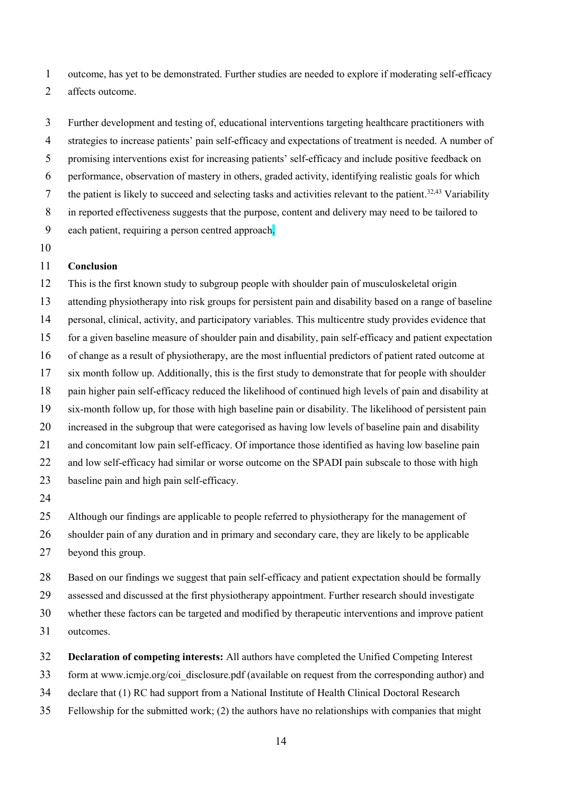outcome, has yet to be demonstrated. Further studies are needed to explore if moderating self-efficacy

affects outcome.

 Further development and testing of, educational interventions targeting healthcare practitioners with strategies to increase patients' pain self-efficacy and expectations of treatment is needed. A number of promising interventions exist for increasing patients' self-efficacy and include positive feedback on performance, observation of mastery in others, graded activity, identifying realistic goals for which 7 the patient is likely to succeed and selecting tasks and activities relevant to the patient.<sup>32,43</sup> Variability in reported effectiveness suggests that the purpose, content and delivery may need to be tailored to each patient, requiring a person centred approach.

# **Conclusion**

 This is the first known study to subgroup people with shoulder pain of musculoskeletal origin attending physiotherapy into risk groups for persistent pain and disability based on a range of baseline personal, clinical, activity, and participatory variables. This multicentre study provides evidence that for a given baseline measure of shoulder pain and disability, pain self-efficacy and patient expectation of change as a result of physiotherapy, are the most influential predictors of patient rated outcome at six month follow up. Additionally, this is the first study to demonstrate that for people with shoulder pain higher pain self-efficacy reduced the likelihood of continued high levels of pain and disability at six-month follow up, for those with high baseline pain or disability. The likelihood of persistent pain increased in the subgroup that were categorised as having low levels of baseline pain and disability and concomitant low pain self-efficacy. Of importance those identified as having low baseline pain and low self-efficacy had similar or worse outcome on the SPADI pain subscale to those with high baseline pain and high pain self-efficacy. 

Although our findings are applicable to people referred to physiotherapy for the management of

shoulder pain of any duration and in primary and secondary care, they are likely to be applicable

beyond this group.

Based on our findings we suggest that pain self-efficacy and patient expectation should be formally

assessed and discussed at the first physiotherapy appointment. Further research should investigate

 whether these factors can be targeted and modified by therapeutic interventions and improve patient outcomes.

**Declaration of competing interests:** All authors have completed the Unified Competing Interest

33 form at www.icmje.org/coi\_disclosure.pdf (available on request from the corresponding author) and

declare that (1) RC had support from a National Institute of Health Clinical Doctoral Research

Fellowship for the submitted work; (2) the authors have no relationships with companies that might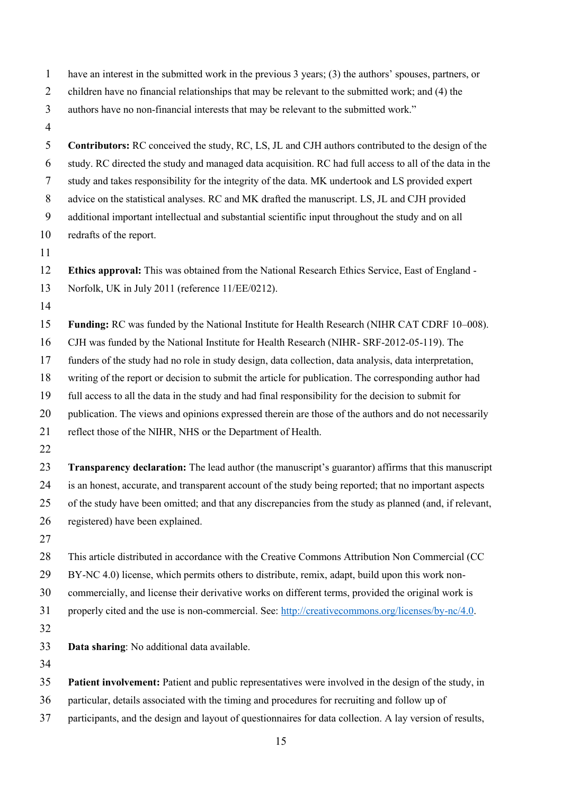| $\mathbf{1}$   | have an interest in the submitted work in the previous 3 years; (3) the authors' spouses, partners, or     |
|----------------|------------------------------------------------------------------------------------------------------------|
| $\overline{2}$ | children have no financial relationships that may be relevant to the submitted work; and (4) the           |
| $\overline{3}$ | authors have no non-financial interests that may be relevant to the submitted work."                       |
| $\overline{4}$ |                                                                                                            |
| 5              | <b>Contributors:</b> RC conceived the study, RC, LS, JL and CJH authors contributed to the design of the   |
| 6              | study. RC directed the study and managed data acquisition. RC had full access to all of the data in the    |
| $\tau$         | study and takes responsibility for the integrity of the data. MK undertook and LS provided expert          |
| $8\,$          | advice on the statistical analyses. RC and MK drafted the manuscript. LS, JL and CJH provided              |
| 9              | additional important intellectual and substantial scientific input throughout the study and on all         |
| 10             | redrafts of the report.                                                                                    |
| 11             |                                                                                                            |
| 12             | Ethics approval: This was obtained from the National Research Ethics Service, East of England -            |
| 13             | Norfolk, UK in July 2011 (reference 11/EE/0212).                                                           |
| 14             |                                                                                                            |
| 15             | Funding: RC was funded by the National Institute for Health Research (NIHR CAT CDRF 10–008).               |
| 16             | CJH was funded by the National Institute for Health Research (NIHR-SRF-2012-05-119). The                   |
| 17             | funders of the study had no role in study design, data collection, data analysis, data interpretation,     |
| 18             | writing of the report or decision to submit the article for publication. The corresponding author had      |
| 19             | full access to all the data in the study and had final responsibility for the decision to submit for       |
| 20             | publication. The views and opinions expressed therein are those of the authors and do not necessarily      |
| 21             | reflect those of the NIHR, NHS or the Department of Health.                                                |
| 22             |                                                                                                            |
| 23             | <b>Transparency declaration:</b> The lead author (the manuscript's guarantor) affirms that this manuscript |
| 24             | is an honest, accurate, and transparent account of the study being reported; that no important aspects     |
| 25             | of the study have been omitted; and that any discrepancies from the study as planned (and, if relevant,    |
| 26             | registered) have been explained.                                                                           |
| 27             |                                                                                                            |
| 28             | This article distributed in accordance with the Creative Commons Attribution Non Commercial (CC            |
| 29             | BY-NC 4.0) license, which permits others to distribute, remix, adapt, build upon this work non-            |
| 30             | commercially, and license their derivative works on different terms, provided the original work is         |
| 31             | properly cited and the use is non-commercial. See: http://creativecommons.org/licenses/by-nc/4.0.          |
| 32             |                                                                                                            |
| 33             | Data sharing: No additional data available.                                                                |
| 34             |                                                                                                            |
| 35             | Patient involvement: Patient and public representatives were involved in the design of the study, in       |
| 36             | particular, details associated with the timing and procedures for recruiting and follow up of              |
| 37             | participants, and the design and layout of questionnaires for data collection. A lay version of results,   |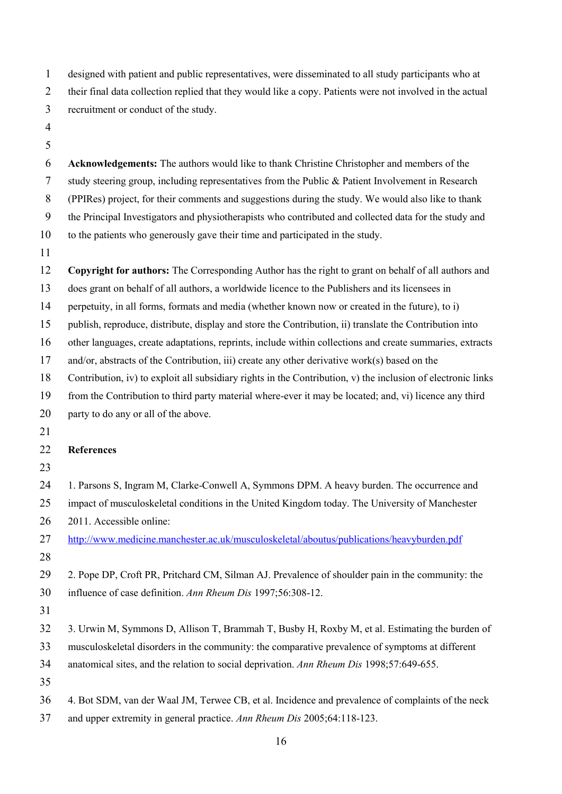designed with patient and public representatives, were disseminated to all study participants who at their final data collection replied that they would like a copy. Patients were not involved in the actual recruitment or conduct of the study.

 

 **Acknowledgements:** The authors would like to thank Christine Christopher and members of the study steering group, including representatives from the Public & Patient Involvement in Research (PPIRes) project, for their comments and suggestions during the study. We would also like to thank the Principal Investigators and physiotherapists who contributed and collected data for the study and to the patients who generously gave their time and participated in the study.

 **Copyright for authors:** The Corresponding Author has the right to grant on behalf of all authors and does grant on behalf of all authors, a worldwide licence to the Publishers and its licensees in perpetuity, in all forms, formats and media (whether known now or created in the future), to i) publish, reproduce, distribute, display and store the Contribution, ii) translate the Contribution into other languages, create adaptations, reprints, include within collections and create summaries, extracts and/or, abstracts of the Contribution, iii) create any other derivative work(s) based on the Contribution, iv) to exploit all subsidiary rights in the Contribution, v) the inclusion of electronic links from the Contribution to third party material where-ever it may be located; and, vi) licence any third party to do any or all of the above. **References** 1. Parsons S, Ingram M, Clarke-Conwell A, Symmons DPM. A heavy burden. The occurrence and impact of musculoskeletal conditions in the United Kingdom today. The University of Manchester 2011. Accessible online: <http://www.medicine.manchester.ac.uk/musculoskeletal/aboutus/publications/heavyburden.pdf> 2. Pope DP, Croft PR, Pritchard CM, Silman AJ. Prevalence of shoulder pain in the community: the influence of case definition. *Ann Rheum Dis* 1997;56:308-12. 3. Urwin M, Symmons D, Allison T, Brammah T, Busby H, Roxby M, et al. Estimating the burden of musculoskeletal disorders in the community: the comparative prevalence of symptoms at different

anatomical sites, and the relation to social deprivation. *Ann Rheum Dis* 1998;57:649-655.

4. Bot SDM, van der Waal JM, Terwee CB, et al. Incidence and prevalence of complaints of the neck

and upper extremity in general practice. *Ann Rheum Dis* 2005;64:118-123.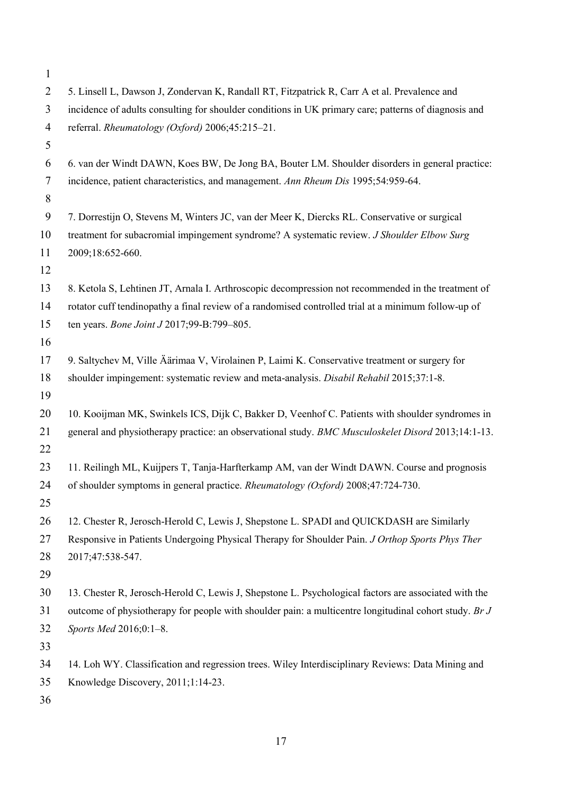| $\mathbf{1}$     |                                                                                                       |
|------------------|-------------------------------------------------------------------------------------------------------|
| $\overline{2}$   | 5. Linsell L, Dawson J, Zondervan K, Randall RT, Fitzpatrick R, Carr A et al. Prevalence and          |
| 3                | incidence of adults consulting for shoulder conditions in UK primary care; patterns of diagnosis and  |
| $\overline{4}$   | referral. Rheumatology (Oxford) 2006;45:215-21.                                                       |
| 5                |                                                                                                       |
| 6                | 6. van der Windt DAWN, Koes BW, De Jong BA, Bouter LM. Shoulder disorders in general practice:        |
| $\tau$           | incidence, patient characteristics, and management. Ann Rheum Dis 1995;54:959-64.                     |
| 8                |                                                                                                       |
| $\boldsymbol{9}$ | 7. Dorrestijn O, Stevens M, Winters JC, van der Meer K, Diercks RL. Conservative or surgical          |
| 10               | treatment for subacromial impingement syndrome? A systematic review. J Shoulder Elbow Surg            |
| 11               | 2009;18:652-660.                                                                                      |
| 12               |                                                                                                       |
| 13               | 8. Ketola S, Lehtinen JT, Arnala I. Arthroscopic decompression not recommended in the treatment of    |
| 14               | rotator cuff tendinopathy a final review of a randomised controlled trial at a minimum follow-up of   |
| 15               | ten years. Bone Joint J 2017;99-B:799-805.                                                            |
| 16               |                                                                                                       |
| 17               | 9. Saltychev M, Ville Äärimaa V, Virolainen P, Laimi K. Conservative treatment or surgery for         |
| 18               | shoulder impingement: systematic review and meta-analysis. Disabil Rehabil 2015;37:1-8.               |
| 19               |                                                                                                       |
| 20               | 10. Kooijman MK, Swinkels ICS, Dijk C, Bakker D, Veenhof C. Patients with shoulder syndromes in       |
| 21               | general and physiotherapy practice: an observational study. BMC Musculoskelet Disord 2013;14:1-13.    |
| 22               |                                                                                                       |
| 23               | 11. Reilingh ML, Kuijpers T, Tanja-Harfterkamp AM, van der Windt DAWN. Course and prognosis           |
| 24               | of shoulder symptoms in general practice. Rheumatology (Oxford) 2008;47:724-730.                      |
| 25<br>26         | 12. Chester R, Jerosch-Herold C, Lewis J, Shepstone L. SPADI and QUICKDASH are Similarly              |
| 27               | Responsive in Patients Undergoing Physical Therapy for Shoulder Pain. J Orthop Sports Phys Ther       |
| 28               | 2017;47:538-547.                                                                                      |
| 29               |                                                                                                       |
| 30               | 13. Chester R, Jerosch-Herold C, Lewis J, Shepstone L. Psychological factors are associated with the  |
| 31               | outcome of physiotherapy for people with shoulder pain: a multicentre longitudinal cohort study. Br J |
| 32               | Sports Med 2016;0:1-8.                                                                                |
| 33               |                                                                                                       |
| 34               | 14. Loh WY. Classification and regression trees. Wiley Interdisciplinary Reviews: Data Mining and     |
| 35               | Knowledge Discovery, 2011;1:14-23.                                                                    |
| 36               |                                                                                                       |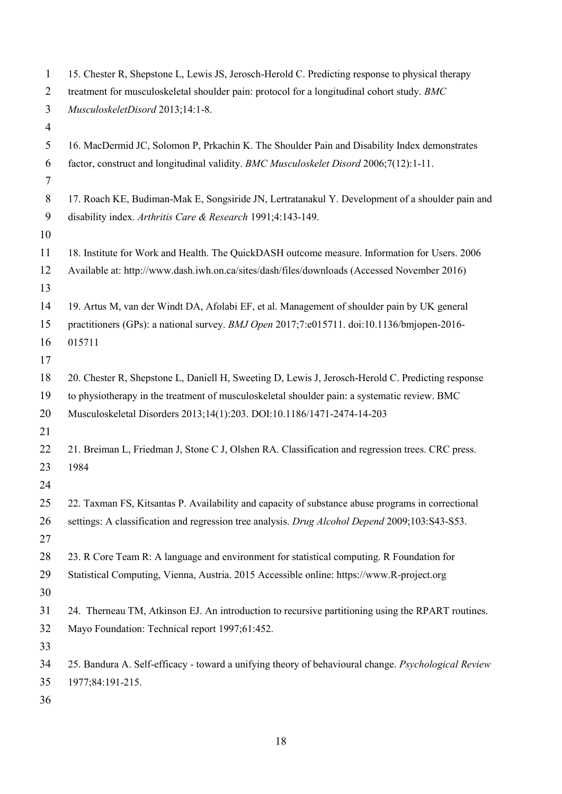| $\mathbf{1}$   | 15. Chester R, Shepstone L, Lewis JS, Jerosch-Herold C. Predicting response to physical therapy     |
|----------------|-----------------------------------------------------------------------------------------------------|
| 2              | treatment for musculoskeletal shoulder pain: protocol for a longitudinal cohort study. BMC          |
| 3              | MusculoskeletDisord 2013;14:1-8.                                                                    |
| $\overline{4}$ |                                                                                                     |
| 5              | 16. MacDermid JC, Solomon P, Prkachin K. The Shoulder Pain and Disability Index demonstrates        |
| 6              | factor, construct and longitudinal validity. BMC Musculoskelet Disord 2006;7(12):1-11.              |
| 7              |                                                                                                     |
| 8              | 17. Roach KE, Budiman-Mak E, Songsiride JN, Lertratanakul Y. Development of a shoulder pain and     |
| 9              | disability index. Arthritis Care & Research 1991;4:143-149.                                         |
| 10             |                                                                                                     |
| 11             | 18. Institute for Work and Health. The QuickDASH outcome measure. Information for Users. 2006       |
| 12             | Available at: http://www.dash.iwh.on.ca/sites/dash/files/downloads (Accessed November 2016)         |
| 13             |                                                                                                     |
| 14             | 19. Artus M, van der Windt DA, Afolabi EF, et al. Management of shoulder pain by UK general         |
| 15             | practitioners (GPs): a national survey. <i>BMJ Open</i> 2017;7:e015711. doi:10.1136/bmjopen-2016-   |
| 16             | 015711                                                                                              |
| 17             |                                                                                                     |
| 18             | 20. Chester R, Shepstone L, Daniell H, Sweeting D, Lewis J, Jerosch-Herold C. Predicting response   |
| 19             | to physiotherapy in the treatment of musculoskeletal shoulder pain: a systematic review. BMC        |
| 20             | Musculoskeletal Disorders 2013;14(1):203. DOI:10.1186/1471-2474-14-203                              |
| 21             |                                                                                                     |
| 22             | 21. Breiman L, Friedman J, Stone C J, Olshen RA. Classification and regression trees. CRC press.    |
| 23             | 1984                                                                                                |
| 24             |                                                                                                     |
| 25             | 22. Taxman FS, Kitsantas P. Availability and capacity of substance abuse programs in correctional   |
| 26             | settings: A classification and regression tree analysis. Drug Alcohol Depend 2009;103:S43-S53.      |
| 27             |                                                                                                     |
| 28             | 23. R Core Team R: A language and environment for statistical computing. R Foundation for           |
| 29             | Statistical Computing, Vienna, Austria. 2015 Accessible online: https://www.R-project.org           |
| 30             |                                                                                                     |
| 31             | 24. Therneau TM, Atkinson EJ. An introduction to recursive partitioning using the RPART routines.   |
| 32             | Mayo Foundation: Technical report 1997;61:452.                                                      |
| 33             |                                                                                                     |
| 34             | 25. Bandura A. Self-efficacy - toward a unifying theory of behavioural change. Psychological Review |
| 35             | 1977;84:191-215.                                                                                    |
| 36             |                                                                                                     |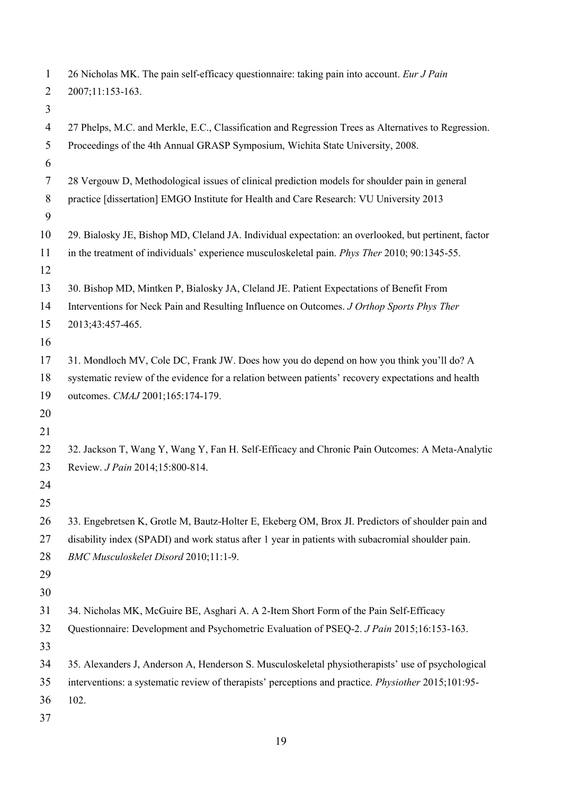| $\mathbf{1}$   | 26 Nicholas MK. The pain self-efficacy questionnaire: taking pain into account. Eur J Pain           |
|----------------|------------------------------------------------------------------------------------------------------|
| $\overline{2}$ | 2007;11:153-163.                                                                                     |
| $\mathfrak{Z}$ |                                                                                                      |
| $\overline{4}$ | 27 Phelps, M.C. and Merkle, E.C., Classification and Regression Trees as Alternatives to Regression. |
| 5              | Proceedings of the 4th Annual GRASP Symposium, Wichita State University, 2008.                       |
| 6              |                                                                                                      |
| $\overline{7}$ | 28 Vergouw D, Methodological issues of clinical prediction models for shoulder pain in general       |
| $8\,$          | practice [dissertation] EMGO Institute for Health and Care Research: VU University 2013              |
| 9              |                                                                                                      |
| 10             | 29. Bialosky JE, Bishop MD, Cleland JA. Individual expectation: an overlooked, but pertinent, factor |
| 11             | in the treatment of individuals' experience musculoskeletal pain. Phys Ther 2010; 90:1345-55.        |
| 12             |                                                                                                      |
| 13             | 30. Bishop MD, Mintken P, Bialosky JA, Cleland JE. Patient Expectations of Benefit From              |
| 14             | Interventions for Neck Pain and Resulting Influence on Outcomes. J Orthop Sports Phys Ther           |
| 15             | 2013;43:457-465.                                                                                     |
| 16             |                                                                                                      |
| 17             | 31. Mondloch MV, Cole DC, Frank JW. Does how you do depend on how you think you'll do? A             |
| 18             | systematic review of the evidence for a relation between patients' recovery expectations and health  |
| 19             | outcomes. CMAJ 2001;165:174-179.                                                                     |
| 20             |                                                                                                      |
| 21             |                                                                                                      |
| 22             | 32. Jackson T, Wang Y, Wang Y, Fan H. Self-Efficacy and Chronic Pain Outcomes: A Meta-Analytic       |
| 23             | Review. J Pain 2014;15:800-814.                                                                      |
| 24             |                                                                                                      |
| 25             |                                                                                                      |
| 26             | 33. Engebretsen K, Grotle M, Bautz-Holter E, Ekeberg OM, Brox JI. Predictors of shoulder pain and    |
| 27             | disability index (SPADI) and work status after 1 year in patients with subacromial shoulder pain.    |
| 28             | BMC Musculoskelet Disord 2010;11:1-9.                                                                |
| 29             |                                                                                                      |
| 30             |                                                                                                      |
| 31             | 34. Nicholas MK, McGuire BE, Asghari A. A 2-Item Short Form of the Pain Self-Efficacy                |
| 32<br>33       | Questionnaire: Development and Psychometric Evaluation of PSEQ-2. J Pain 2015;16:153-163.            |
| 34             | 35. Alexanders J, Anderson A, Henderson S. Musculoskeletal physiotherapists' use of psychological    |
| 35             | interventions: a systematic review of therapists' perceptions and practice. Physiother 2015;101:95-  |
| 36             | 102.                                                                                                 |
| 37             |                                                                                                      |
|                |                                                                                                      |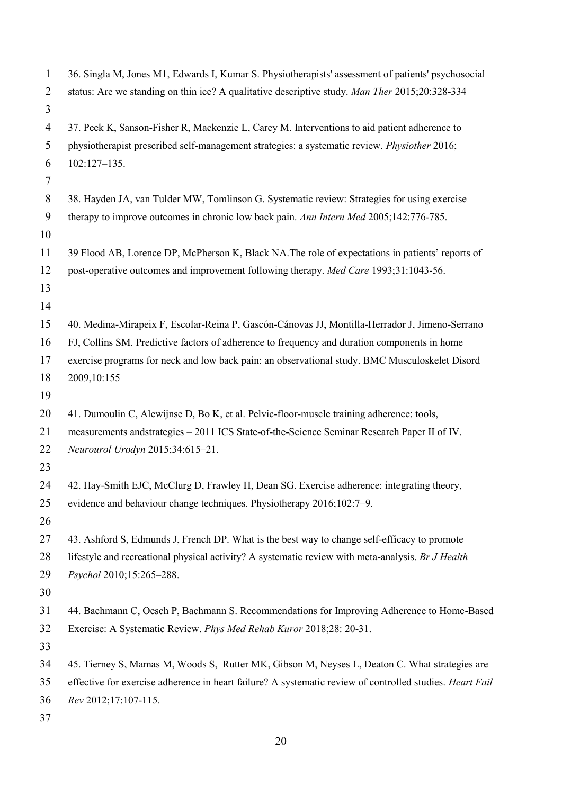| $\mathbf{1}$   | 36. Singla M, Jones M1, Edwards I, Kumar S. Physiotherapists' assessment of patients' psychosocial       |
|----------------|----------------------------------------------------------------------------------------------------------|
| $\overline{2}$ | status: Are we standing on thin ice? A qualitative descriptive study. Man Ther 2015;20:328-334           |
| $\mathfrak{Z}$ |                                                                                                          |
| $\overline{4}$ | 37. Peek K, Sanson-Fisher R, Mackenzie L, Carey M. Interventions to aid patient adherence to             |
| 5              | physiotherapist prescribed self-management strategies: a systematic review. Physiother 2016;             |
| 6              | $102:127-135.$                                                                                           |
| $\tau$         |                                                                                                          |
| $8\,$          | 38. Hayden JA, van Tulder MW, Tomlinson G. Systematic review: Strategies for using exercise              |
| 9              | therapy to improve outcomes in chronic low back pain. Ann Intern Med 2005;142:776-785.                   |
| 10             |                                                                                                          |
| 11             | 39 Flood AB, Lorence DP, McPherson K, Black NA. The role of expectations in patients' reports of         |
| 12             | post-operative outcomes and improvement following therapy. Med Care 1993;31:1043-56.                     |
| 13             |                                                                                                          |
| 14             |                                                                                                          |
| 15             | 40. Medina-Mirapeix F, Escolar-Reina P, Gascón-Cánovas JJ, Montilla-Herrador J, Jimeno-Serrano           |
| 16             | FJ, Collins SM. Predictive factors of adherence to frequency and duration components in home             |
| 17             | exercise programs for neck and low back pain: an observational study. BMC Musculoskelet Disord           |
| 18             | 2009, 10:155                                                                                             |
| 19             |                                                                                                          |
| 20             | 41. Dumoulin C, Alewijnse D, Bo K, et al. Pelvic-floor-muscle training adherence: tools,                 |
| 21             | measurements and strategies - 2011 ICS State-of-the-Science Seminar Research Paper II of IV.             |
| 22             | Neurourol Urodyn 2015;34:615-21.                                                                         |
| 23             |                                                                                                          |
| 24             | 42. Hay-Smith EJC, McClurg D, Frawley H, Dean SG. Exercise adherence: integrating theory,                |
| 25             | evidence and behaviour change techniques. Physiotherapy 2016;102:7-9.                                    |
| 26             |                                                                                                          |
| 27             | 43. Ashford S, Edmunds J, French DP. What is the best way to change self-efficacy to promote             |
| 28             | lifestyle and recreational physical activity? A systematic review with meta-analysis. Br J Health        |
| 29             | Psychol 2010;15:265-288.                                                                                 |
| 30             |                                                                                                          |
| 31             | 44. Bachmann C, Oesch P, Bachmann S. Recommendations for Improving Adherence to Home-Based               |
| 32             | Exercise: A Systematic Review. Phys Med Rehab Kuror 2018;28: 20-31.                                      |
| 33             |                                                                                                          |
| 34             | 45. Tierney S, Mamas M, Woods S, Rutter MK, Gibson M, Neyses L, Deaton C. What strategies are            |
| 35             | effective for exercise adherence in heart failure? A systematic review of controlled studies. Heart Fail |
| 36             | Rev 2012;17:107-115.                                                                                     |
| 37             |                                                                                                          |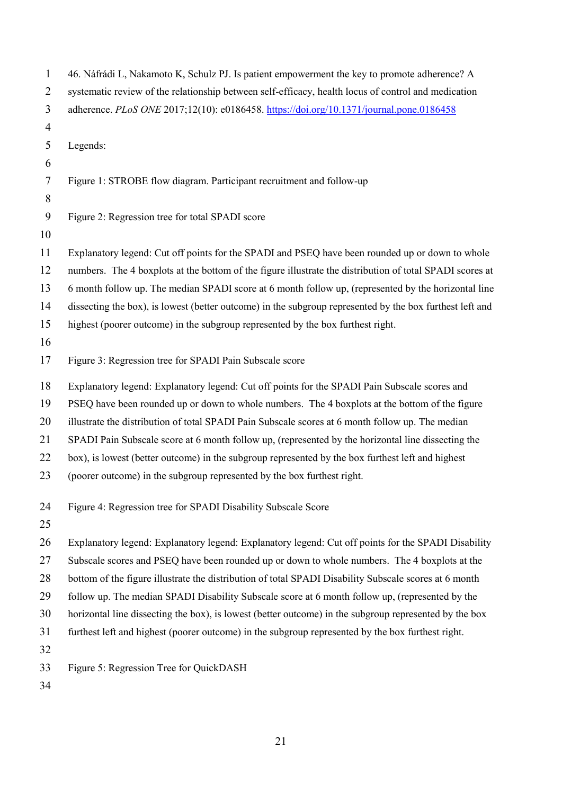| $\mathbf{1}$   | 46. Náfrádi L, Nakamoto K, Schulz PJ. Is patient empowerment the key to promote adherence? A             |
|----------------|----------------------------------------------------------------------------------------------------------|
| $\overline{2}$ | systematic review of the relationship between self-efficacy, health locus of control and medication      |
| 3              | adherence. PLoS ONE 2017;12(10): e0186458. https://doi.org/10.1371/journal.pone.0186458                  |
| $\overline{4}$ |                                                                                                          |
| 5              | Legends:                                                                                                 |
| 6              |                                                                                                          |
| $\tau$         | Figure 1: STROBE flow diagram. Participant recruitment and follow-up                                     |
| 8              |                                                                                                          |
| 9              | Figure 2: Regression tree for total SPADI score                                                          |
| 10             |                                                                                                          |
| 11             | Explanatory legend: Cut off points for the SPADI and PSEQ have been rounded up or down to whole          |
| 12             | numbers. The 4 boxplots at the bottom of the figure illustrate the distribution of total SPADI scores at |
| 13             | 6 month follow up. The median SPADI score at 6 month follow up, (represented by the horizontal line      |
| 14             | dissecting the box), is lowest (better outcome) in the subgroup represented by the box furthest left and |
| 15             | highest (poorer outcome) in the subgroup represented by the box furthest right.                          |
| 16             |                                                                                                          |
| 17             | Figure 3: Regression tree for SPADI Pain Subscale score                                                  |
| 18             | Explanatory legend: Explanatory legend: Cut off points for the SPADI Pain Subscale scores and            |
| 19             | PSEQ have been rounded up or down to whole numbers. The 4 boxplots at the bottom of the figure           |
| 20             | illustrate the distribution of total SPADI Pain Subscale scores at 6 month follow up. The median         |
| 21             | SPADI Pain Subscale score at 6 month follow up, (represented by the horizontal line dissecting the       |
| 22             | box), is lowest (better outcome) in the subgroup represented by the box furthest left and highest        |
| 23             | (poorer outcome) in the subgroup represented by the box furthest right.                                  |
| 24             | Figure 4: Regression tree for SPADI Disability Subscale Score                                            |
| 25             |                                                                                                          |
| 26             | Explanatory legend: Explanatory legend: Explanatory legend: Cut off points for the SPADI Disability      |
| 27             | Subscale scores and PSEQ have been rounded up or down to whole numbers. The 4 boxplots at the            |
| 28             | bottom of the figure illustrate the distribution of total SPADI Disability Subscale scores at 6 month    |
| 29             | follow up. The median SPADI Disability Subscale score at 6 month follow up, (represented by the          |
| 30             | horizontal line dissecting the box), is lowest (better outcome) in the subgroup represented by the box   |
| 31             | furthest left and highest (poorer outcome) in the subgroup represented by the box furthest right.        |
| 32             |                                                                                                          |
| 33             | Figure 5: Regression Tree for QuickDASH                                                                  |
| 34             |                                                                                                          |